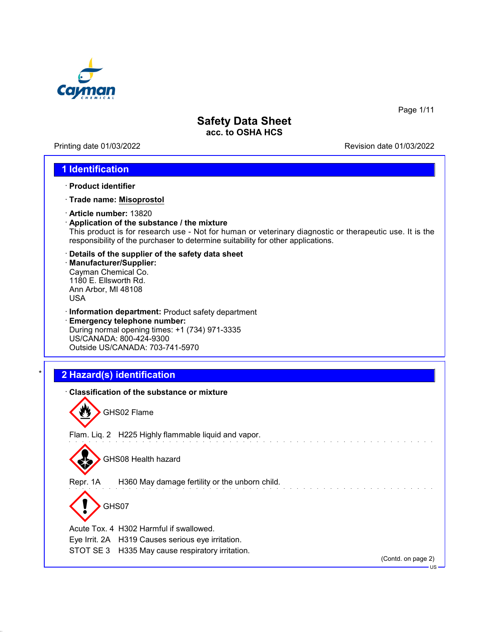

Printing date 01/03/2022 **Revision date 01/03/2022** 

Page 1/11

### **1 Identification**

- · **Product identifier**
- · **Trade name: Misoprostol**
- · **Article number:** 13820
- · **Application of the substance / the mixture** This product is for research use - Not for human or veterinary diagnostic or therapeutic use. It is the responsibility of the purchaser to determine suitability for other applications.
- · **Details of the supplier of the safety data sheet** · **Manufacturer/Supplier:** Cayman Chemical Co. 1180 E. Ellsworth Rd. Ann Arbor, MI 48108 USA
- · **Information department:** Product safety department
- · **Emergency telephone number:** During normal opening times: +1 (734) 971-3335 US/CANADA: 800-424-9300 Outside US/CANADA: 703-741-5970

## \* **2 Hazard(s) identification**

|          | <b>Classification of the substance or mixture</b><br>GHS02 Flame |                              |
|----------|------------------------------------------------------------------|------------------------------|
|          | Flam. Liq. 2 H225 Highly flammable liquid and vapor.             |                              |
|          | GHS08 Health hazard                                              |                              |
| Repr. 1A | H360 May damage fertility or the unborn child.                   |                              |
|          | GHS07                                                            |                              |
|          | Acute Tox, 4 H302 Harmful if swallowed.                          |                              |
|          | Eye Irrit. 2A H319 Causes serious eye irritation.                |                              |
| STOT SE3 | H335 May cause respiratory irritation.                           | (Contd. on page 2)<br>$US -$ |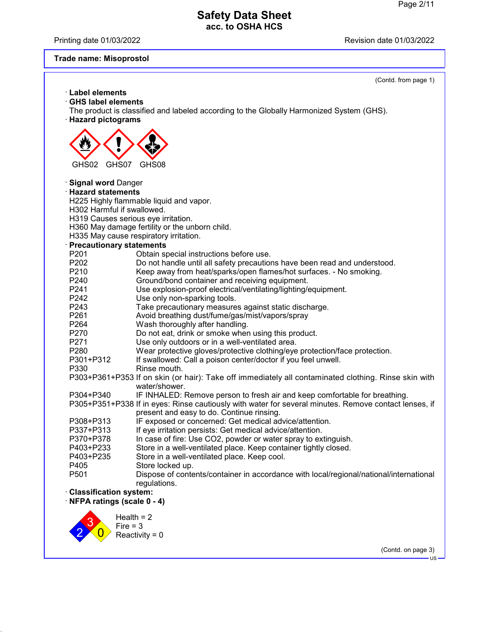Printing date 01/03/2022 **Printing date 01/03/2022** 

## **Trade name: Misoprostol**

|                                                  | (Contd. from page 1)                                                                                                                               |
|--------------------------------------------------|----------------------------------------------------------------------------------------------------------------------------------------------------|
| $\cdot$ Label elements                           |                                                                                                                                                    |
| <b>GHS label elements</b>                        |                                                                                                                                                    |
|                                                  | The product is classified and labeled according to the Globally Harmonized System (GHS).                                                           |
| · Hazard pictograms                              |                                                                                                                                                    |
|                                                  |                                                                                                                                                    |
|                                                  |                                                                                                                                                    |
|                                                  |                                                                                                                                                    |
|                                                  |                                                                                                                                                    |
| GHS07                                            |                                                                                                                                                    |
| GHS02                                            | GHS08                                                                                                                                              |
|                                                  |                                                                                                                                                    |
| · Signal word Danger<br><b>Hazard statements</b> |                                                                                                                                                    |
|                                                  |                                                                                                                                                    |
| H302 Harmful if swallowed.                       | H225 Highly flammable liquid and vapor.                                                                                                            |
|                                                  | H319 Causes serious eye irritation.                                                                                                                |
|                                                  | H360 May damage fertility or the unborn child.                                                                                                     |
|                                                  | H335 May cause respiratory irritation.                                                                                                             |
|                                                  |                                                                                                                                                    |
| · Precautionary statements<br>P201               |                                                                                                                                                    |
| P202                                             | Obtain special instructions before use.                                                                                                            |
|                                                  | Do not handle until all safety precautions have been read and understood.                                                                          |
| P210                                             | Keep away from heat/sparks/open flames/hot surfaces. - No smoking.                                                                                 |
| P240<br>P241                                     | Ground/bond container and receiving equipment.                                                                                                     |
| P242                                             | Use explosion-proof electrical/ventilating/lighting/equipment.                                                                                     |
| P243                                             | Use only non-sparking tools.                                                                                                                       |
| P261                                             | Take precautionary measures against static discharge.                                                                                              |
|                                                  | Avoid breathing dust/fume/gas/mist/vapors/spray                                                                                                    |
| P264<br>P270                                     | Wash thoroughly after handling.                                                                                                                    |
| P271                                             | Do not eat, drink or smoke when using this product.<br>Use only outdoors or in a well-ventilated area.                                             |
| P280                                             |                                                                                                                                                    |
| P301+P312                                        | Wear protective gloves/protective clothing/eye protection/face protection.<br>If swallowed: Call a poison center/doctor if you feel unwell.        |
| P330                                             | Rinse mouth.                                                                                                                                       |
|                                                  | P303+P361+P353 If on skin (or hair): Take off immediately all contaminated clothing. Rinse skin with                                               |
|                                                  | water/shower.                                                                                                                                      |
| P304+P340                                        | IF INHALED: Remove person to fresh air and keep comfortable for breathing.                                                                         |
|                                                  |                                                                                                                                                    |
|                                                  | P305+P351+P338 If in eyes: Rinse cautiously with water for several minutes. Remove contact lenses, if<br>present and easy to do. Continue rinsing. |
| P308+P313                                        | IF exposed or concerned: Get medical advice/attention.                                                                                             |
| P337+P313                                        | If eye irritation persists: Get medical advice/attention.                                                                                          |
| P370+P378                                        | In case of fire: Use CO2, powder or water spray to extinguish.                                                                                     |
| P403+P233                                        | Store in a well-ventilated place. Keep container tightly closed.                                                                                   |
| P403+P235                                        | Store in a well-ventilated place. Keep cool.                                                                                                       |
| P405                                             | Store locked up.                                                                                                                                   |
| P501                                             | Dispose of contents/container in accordance with local/regional/national/international                                                             |
|                                                  | regulations.                                                                                                                                       |
| <b>Classification system:</b>                    |                                                                                                                                                    |
| NFPA ratings (scale 0 - 4)                       |                                                                                                                                                    |
|                                                  |                                                                                                                                                    |
|                                                  | Health $= 2$                                                                                                                                       |
|                                                  | Fire $=$ 3                                                                                                                                         |
|                                                  | Reactivity = $0$                                                                                                                                   |
|                                                  |                                                                                                                                                    |
|                                                  | (Contd. on page 3)                                                                                                                                 |
|                                                  | US-                                                                                                                                                |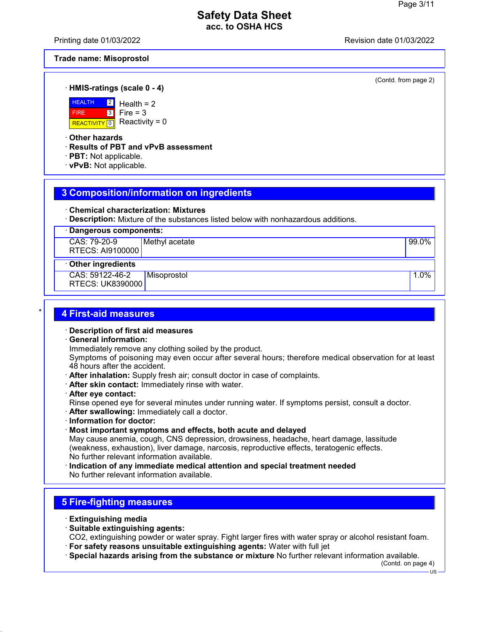Printing date 01/03/2022 Revision date 01/03/2022

(Contd. from page 2)

#### **Trade name: Misoprostol**

· **HMIS-ratings (scale 0 - 4)**



Health  $= 2$ Fire  $= 3$ Reactivity =  $0$ 

· **Other hazards**

· **Results of PBT and vPvB assessment**

- · **PBT:** Not applicable.
- · **vPvB:** Not applicable.

### **3 Composition/information on ingredients**

- · **Chemical characterization: Mixtures**
- · **Description:** Mixture of the substances listed below with nonhazardous additions.

| · Dangerous components: |                |       |  |  |
|-------------------------|----------------|-------|--|--|
| CAS: 79-20-9            | Methyl acetate | 99.0% |  |  |
| RTECS: AI9100000        |                |       |  |  |

#### · **Other ingredients**

CAS: 59122-46-2 RTECS: UK8390000 Misoprostol 1.0%

### \* **4 First-aid measures**

- · **Description of first aid measures**
- · **General information:**

Immediately remove any clothing soiled by the product.

Symptoms of poisoning may even occur after several hours; therefore medical observation for at least 48 hours after the accident.

- · **After inhalation:** Supply fresh air; consult doctor in case of complaints.
- · **After skin contact:** Immediately rinse with water.
- · **After eye contact:** Rinse opened eye for several minutes under running water. If symptoms persist, consult a doctor.
- · **After swallowing:** Immediately call a doctor.
- · **Information for doctor:**
- · **Most important symptoms and effects, both acute and delayed**

May cause anemia, cough, CNS depression, drowsiness, headache, heart damage, lassitude (weakness, exhaustion), liver damage, narcosis, reproductive effects, teratogenic effects. No further relevant information available.

· **Indication of any immediate medical attention and special treatment needed** No further relevant information available.

# **5 Fire-fighting measures**

- · **Extinguishing media**
- · **Suitable extinguishing agents:**
- CO2, extinguishing powder or water spray. Fight larger fires with water spray or alcohol resistant foam. · **For safety reasons unsuitable extinguishing agents:** Water with full jet
- · **Special hazards arising from the substance or mixture** No further relevant information available.

(Contd. on page 4)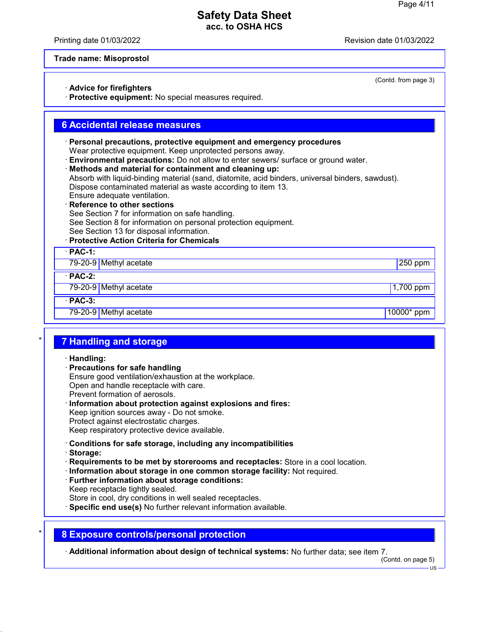Printing date 01/03/2022 Revision date 01/03/2022

#### **Trade name: Misoprostol**

#### · **Advice for firefighters**

· **Protective equipment:** No special measures required.

### **6 Accidental release measures**

- · **Personal precautions, protective equipment and emergency procedures** Wear protective equipment. Keep unprotected persons away.
- · **Environmental precautions:** Do not allow to enter sewers/ surface or ground water.
- · **Methods and material for containment and cleaning up:**

Absorb with liquid-binding material (sand, diatomite, acid binders, universal binders, sawdust). Dispose contaminated material as waste according to item 13.

- Ensure adequate ventilation. **Reference to other sections** See Section 7 for information on safe handling. See Section 8 for information on personal protection equipment.
- See Section 13 for disposal information.
- · **Protective Action Criteria for Chemicals**

· **PAC-1:**

79-20-9 Methyl acetate 250 ppm

· **PAC-2:**

79-20-9 Methyl acetate 1,700 ppm

· **PAC-3:**

79-20-9 Methyl acetate 10000\* ppm

#### \* **7 Handling and storage**

· **Handling:**

· **Precautions for safe handling**

Ensure good ventilation/exhaustion at the workplace. Open and handle receptacle with care. Prevent formation of aerosols.

- · **Information about protection against explosions and fires:** Keep ignition sources away - Do not smoke. Protect against electrostatic charges. Keep respiratory protective device available.
- · **Conditions for safe storage, including any incompatibilities**
- · **Storage:**
- · **Requirements to be met by storerooms and receptacles:** Store in a cool location.
- · **Information about storage in one common storage facility:** Not required.
- · **Further information about storage conditions:** Keep receptacle tightly sealed. Store in cool, dry conditions in well sealed receptacles.
- 
- · **Specific end use(s)** No further relevant information available.

#### \* **8 Exposure controls/personal protection**

· **Additional information about design of technical systems:** No further data; see item 7.

(Contd. on page 5)

 $\overline{18}$ 

(Contd. from page 3)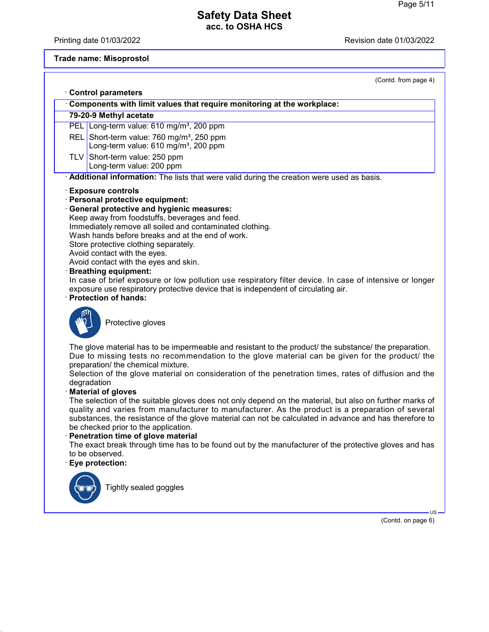Printing date 01/03/2022 **Printing date 01/03/2022** 

## **Trade name: Misoprostol**

|             | (Contd. from page 4)                                                                                                                                                                                                                                                                                                                                                                                                                                                                                                                                                                                                                                                                                                                                                                                                                                                                                                                                                                             |
|-------------|--------------------------------------------------------------------------------------------------------------------------------------------------------------------------------------------------------------------------------------------------------------------------------------------------------------------------------------------------------------------------------------------------------------------------------------------------------------------------------------------------------------------------------------------------------------------------------------------------------------------------------------------------------------------------------------------------------------------------------------------------------------------------------------------------------------------------------------------------------------------------------------------------------------------------------------------------------------------------------------------------|
|             | <b>Control parameters</b>                                                                                                                                                                                                                                                                                                                                                                                                                                                                                                                                                                                                                                                                                                                                                                                                                                                                                                                                                                        |
|             | Components with limit values that require monitoring at the workplace:                                                                                                                                                                                                                                                                                                                                                                                                                                                                                                                                                                                                                                                                                                                                                                                                                                                                                                                           |
|             | 79-20-9 Methyl acetate                                                                                                                                                                                                                                                                                                                                                                                                                                                                                                                                                                                                                                                                                                                                                                                                                                                                                                                                                                           |
|             | PEL Long-term value: 610 mg/m <sup>3</sup> , 200 ppm                                                                                                                                                                                                                                                                                                                                                                                                                                                                                                                                                                                                                                                                                                                                                                                                                                                                                                                                             |
|             | REL Short-term value: 760 mg/m <sup>3</sup> , 250 ppm<br>Long-term value: 610 mg/m <sup>3</sup> , 200 ppm                                                                                                                                                                                                                                                                                                                                                                                                                                                                                                                                                                                                                                                                                                                                                                                                                                                                                        |
|             | TLV Short-term value: 250 ppm                                                                                                                                                                                                                                                                                                                                                                                                                                                                                                                                                                                                                                                                                                                                                                                                                                                                                                                                                                    |
|             | Long-term value: 200 ppm                                                                                                                                                                                                                                                                                                                                                                                                                                                                                                                                                                                                                                                                                                                                                                                                                                                                                                                                                                         |
|             | Additional information: The lists that were valid during the creation were used as basis.                                                                                                                                                                                                                                                                                                                                                                                                                                                                                                                                                                                                                                                                                                                                                                                                                                                                                                        |
|             | <b>Exposure controls</b><br>· Personal protective equipment:<br><b>General protective and hygienic measures:</b><br>Keep away from foodstuffs, beverages and feed.<br>Immediately remove all soiled and contaminated clothing.<br>Wash hands before breaks and at the end of work.<br>Store protective clothing separately.<br>Avoid contact with the eyes.<br>Avoid contact with the eyes and skin.<br><b>Breathing equipment:</b><br>In case of brief exposure or low pollution use respiratory filter device. In case of intensive or longer<br>exposure use respiratory protective device that is independent of circulating air.<br><b>Protection of hands:</b>                                                                                                                                                                                                                                                                                                                             |
| degradation | Protective gloves<br>The glove material has to be impermeable and resistant to the product/ the substance/ the preparation.<br>Due to missing tests no recommendation to the glove material can be given for the product/ the<br>preparation/ the chemical mixture.<br>Selection of the glove material on consideration of the penetration times, rates of diffusion and the<br><b>Material of gloves</b><br>The selection of the suitable gloves does not only depend on the material, but also on further marks of<br>quality and varies from manufacturer to manufacturer. As the product is a preparation of several<br>substances, the resistance of the glove material can not be calculated in advance and has therefore to<br>be checked prior to the application.<br>Penetration time of glove material<br>The exact break through time has to be found out by the manufacturer of the protective gloves and has<br>to be observed.<br>Eye protection:<br>Tightly sealed goggles<br>US- |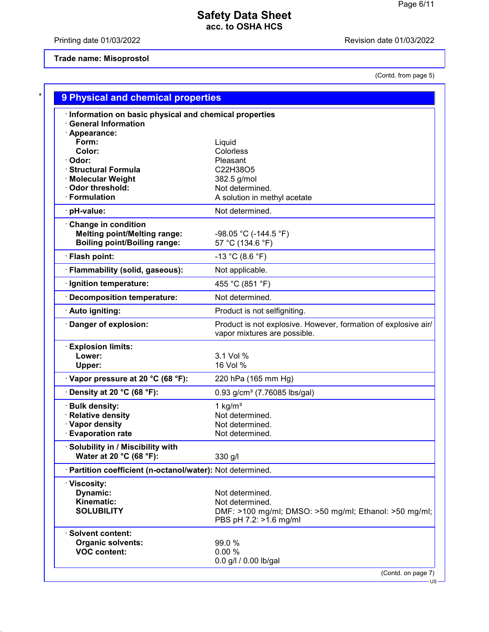Printing date 01/03/2022 **Printing date 01/03/2022** 

## **Trade name: Misoprostol**

(Contd. from page 5)

| <b>General Information</b><br>· Appearance:<br>Form:<br>Liquid<br>Color:<br>Colorless<br>· Odor:<br>Pleasant<br>· Structural Formula<br>C22H38O5<br>· Molecular Weight<br>382.5 g/mol<br>· Odor threshold:<br>Not determined.<br>· Formulation<br>A solution in methyl acetate<br>Not determined.<br>pH-value:<br>Change in condition<br><b>Melting point/Melting range:</b><br>$-98.05$ °C (-144.5 °F)<br><b>Boiling point/Boiling range:</b><br>57 °C (134.6 °F)<br>· Flash point:<br>$-13 °C (8.6 °F)$<br>· Flammability (solid, gaseous):<br>Not applicable.<br>455 °C (851 °F)<br>· Ignition temperature:<br>Not determined.<br>Decomposition temperature:<br>· Auto igniting:<br>Product is not selfigniting.<br>Danger of explosion:<br>vapor mixtures are possible.<br><b>Explosion limits:</b><br>3.1 Vol %<br>Lower:<br>16 Vol %<br>Upper:<br>Vapor pressure at 20 °C (68 °F):<br>220 hPa (165 mm Hg)<br>$\cdot$ Density at 20 °C (68 °F):<br>0.93 g/cm <sup>3</sup> (7.76085 lbs/gal)<br>· Bulk density:<br>1 $kg/m3$<br>· Relative density<br>Not determined.<br>· Vapor density<br>Not determined.<br><b>Evaporation rate</b><br>Not determined.<br>· Solubility in / Miscibility with<br>Water at 20 °C (68 °F):<br>330 g/l<br>· Partition coefficient (n-octanol/water): Not determined.<br>· Viscosity:<br>Dynamic:<br>Not determined.<br>Kinematic:<br>Not determined.<br><b>SOLUBILITY</b><br>DMF: >100 mg/ml; DMSO: >50 mg/ml; Ethanol: >50 mg/ml;<br>PBS pH 7.2: >1.6 mg/ml<br>· Solvent content:<br><b>Organic solvents:</b><br>99.0 %<br><b>VOC content:</b><br>0.00%<br>0.0 g/l / 0.00 lb/gal | Information on basic physical and chemical properties |                                                                |
|----------------------------------------------------------------------------------------------------------------------------------------------------------------------------------------------------------------------------------------------------------------------------------------------------------------------------------------------------------------------------------------------------------------------------------------------------------------------------------------------------------------------------------------------------------------------------------------------------------------------------------------------------------------------------------------------------------------------------------------------------------------------------------------------------------------------------------------------------------------------------------------------------------------------------------------------------------------------------------------------------------------------------------------------------------------------------------------------------------------------------------------------------------------------------------------------------------------------------------------------------------------------------------------------------------------------------------------------------------------------------------------------------------------------------------------------------------------------------------------------------------------------------------------------------------------------------------------------------------------------|-------------------------------------------------------|----------------------------------------------------------------|
|                                                                                                                                                                                                                                                                                                                                                                                                                                                                                                                                                                                                                                                                                                                                                                                                                                                                                                                                                                                                                                                                                                                                                                                                                                                                                                                                                                                                                                                                                                                                                                                                                      |                                                       |                                                                |
|                                                                                                                                                                                                                                                                                                                                                                                                                                                                                                                                                                                                                                                                                                                                                                                                                                                                                                                                                                                                                                                                                                                                                                                                                                                                                                                                                                                                                                                                                                                                                                                                                      |                                                       |                                                                |
|                                                                                                                                                                                                                                                                                                                                                                                                                                                                                                                                                                                                                                                                                                                                                                                                                                                                                                                                                                                                                                                                                                                                                                                                                                                                                                                                                                                                                                                                                                                                                                                                                      |                                                       |                                                                |
|                                                                                                                                                                                                                                                                                                                                                                                                                                                                                                                                                                                                                                                                                                                                                                                                                                                                                                                                                                                                                                                                                                                                                                                                                                                                                                                                                                                                                                                                                                                                                                                                                      |                                                       |                                                                |
|                                                                                                                                                                                                                                                                                                                                                                                                                                                                                                                                                                                                                                                                                                                                                                                                                                                                                                                                                                                                                                                                                                                                                                                                                                                                                                                                                                                                                                                                                                                                                                                                                      |                                                       |                                                                |
|                                                                                                                                                                                                                                                                                                                                                                                                                                                                                                                                                                                                                                                                                                                                                                                                                                                                                                                                                                                                                                                                                                                                                                                                                                                                                                                                                                                                                                                                                                                                                                                                                      |                                                       |                                                                |
|                                                                                                                                                                                                                                                                                                                                                                                                                                                                                                                                                                                                                                                                                                                                                                                                                                                                                                                                                                                                                                                                                                                                                                                                                                                                                                                                                                                                                                                                                                                                                                                                                      |                                                       |                                                                |
|                                                                                                                                                                                                                                                                                                                                                                                                                                                                                                                                                                                                                                                                                                                                                                                                                                                                                                                                                                                                                                                                                                                                                                                                                                                                                                                                                                                                                                                                                                                                                                                                                      |                                                       |                                                                |
|                                                                                                                                                                                                                                                                                                                                                                                                                                                                                                                                                                                                                                                                                                                                                                                                                                                                                                                                                                                                                                                                                                                                                                                                                                                                                                                                                                                                                                                                                                                                                                                                                      |                                                       |                                                                |
|                                                                                                                                                                                                                                                                                                                                                                                                                                                                                                                                                                                                                                                                                                                                                                                                                                                                                                                                                                                                                                                                                                                                                                                                                                                                                                                                                                                                                                                                                                                                                                                                                      |                                                       |                                                                |
|                                                                                                                                                                                                                                                                                                                                                                                                                                                                                                                                                                                                                                                                                                                                                                                                                                                                                                                                                                                                                                                                                                                                                                                                                                                                                                                                                                                                                                                                                                                                                                                                                      |                                                       |                                                                |
|                                                                                                                                                                                                                                                                                                                                                                                                                                                                                                                                                                                                                                                                                                                                                                                                                                                                                                                                                                                                                                                                                                                                                                                                                                                                                                                                                                                                                                                                                                                                                                                                                      |                                                       |                                                                |
|                                                                                                                                                                                                                                                                                                                                                                                                                                                                                                                                                                                                                                                                                                                                                                                                                                                                                                                                                                                                                                                                                                                                                                                                                                                                                                                                                                                                                                                                                                                                                                                                                      |                                                       |                                                                |
|                                                                                                                                                                                                                                                                                                                                                                                                                                                                                                                                                                                                                                                                                                                                                                                                                                                                                                                                                                                                                                                                                                                                                                                                                                                                                                                                                                                                                                                                                                                                                                                                                      |                                                       |                                                                |
|                                                                                                                                                                                                                                                                                                                                                                                                                                                                                                                                                                                                                                                                                                                                                                                                                                                                                                                                                                                                                                                                                                                                                                                                                                                                                                                                                                                                                                                                                                                                                                                                                      |                                                       |                                                                |
|                                                                                                                                                                                                                                                                                                                                                                                                                                                                                                                                                                                                                                                                                                                                                                                                                                                                                                                                                                                                                                                                                                                                                                                                                                                                                                                                                                                                                                                                                                                                                                                                                      |                                                       |                                                                |
|                                                                                                                                                                                                                                                                                                                                                                                                                                                                                                                                                                                                                                                                                                                                                                                                                                                                                                                                                                                                                                                                                                                                                                                                                                                                                                                                                                                                                                                                                                                                                                                                                      |                                                       |                                                                |
|                                                                                                                                                                                                                                                                                                                                                                                                                                                                                                                                                                                                                                                                                                                                                                                                                                                                                                                                                                                                                                                                                                                                                                                                                                                                                                                                                                                                                                                                                                                                                                                                                      |                                                       |                                                                |
|                                                                                                                                                                                                                                                                                                                                                                                                                                                                                                                                                                                                                                                                                                                                                                                                                                                                                                                                                                                                                                                                                                                                                                                                                                                                                                                                                                                                                                                                                                                                                                                                                      |                                                       | Product is not explosive. However, formation of explosive air/ |
|                                                                                                                                                                                                                                                                                                                                                                                                                                                                                                                                                                                                                                                                                                                                                                                                                                                                                                                                                                                                                                                                                                                                                                                                                                                                                                                                                                                                                                                                                                                                                                                                                      |                                                       |                                                                |
|                                                                                                                                                                                                                                                                                                                                                                                                                                                                                                                                                                                                                                                                                                                                                                                                                                                                                                                                                                                                                                                                                                                                                                                                                                                                                                                                                                                                                                                                                                                                                                                                                      |                                                       |                                                                |
|                                                                                                                                                                                                                                                                                                                                                                                                                                                                                                                                                                                                                                                                                                                                                                                                                                                                                                                                                                                                                                                                                                                                                                                                                                                                                                                                                                                                                                                                                                                                                                                                                      |                                                       |                                                                |
|                                                                                                                                                                                                                                                                                                                                                                                                                                                                                                                                                                                                                                                                                                                                                                                                                                                                                                                                                                                                                                                                                                                                                                                                                                                                                                                                                                                                                                                                                                                                                                                                                      |                                                       |                                                                |
|                                                                                                                                                                                                                                                                                                                                                                                                                                                                                                                                                                                                                                                                                                                                                                                                                                                                                                                                                                                                                                                                                                                                                                                                                                                                                                                                                                                                                                                                                                                                                                                                                      |                                                       |                                                                |
|                                                                                                                                                                                                                                                                                                                                                                                                                                                                                                                                                                                                                                                                                                                                                                                                                                                                                                                                                                                                                                                                                                                                                                                                                                                                                                                                                                                                                                                                                                                                                                                                                      |                                                       |                                                                |
|                                                                                                                                                                                                                                                                                                                                                                                                                                                                                                                                                                                                                                                                                                                                                                                                                                                                                                                                                                                                                                                                                                                                                                                                                                                                                                                                                                                                                                                                                                                                                                                                                      |                                                       |                                                                |
|                                                                                                                                                                                                                                                                                                                                                                                                                                                                                                                                                                                                                                                                                                                                                                                                                                                                                                                                                                                                                                                                                                                                                                                                                                                                                                                                                                                                                                                                                                                                                                                                                      |                                                       |                                                                |
|                                                                                                                                                                                                                                                                                                                                                                                                                                                                                                                                                                                                                                                                                                                                                                                                                                                                                                                                                                                                                                                                                                                                                                                                                                                                                                                                                                                                                                                                                                                                                                                                                      |                                                       |                                                                |
|                                                                                                                                                                                                                                                                                                                                                                                                                                                                                                                                                                                                                                                                                                                                                                                                                                                                                                                                                                                                                                                                                                                                                                                                                                                                                                                                                                                                                                                                                                                                                                                                                      |                                                       |                                                                |
|                                                                                                                                                                                                                                                                                                                                                                                                                                                                                                                                                                                                                                                                                                                                                                                                                                                                                                                                                                                                                                                                                                                                                                                                                                                                                                                                                                                                                                                                                                                                                                                                                      |                                                       |                                                                |
|                                                                                                                                                                                                                                                                                                                                                                                                                                                                                                                                                                                                                                                                                                                                                                                                                                                                                                                                                                                                                                                                                                                                                                                                                                                                                                                                                                                                                                                                                                                                                                                                                      |                                                       |                                                                |
|                                                                                                                                                                                                                                                                                                                                                                                                                                                                                                                                                                                                                                                                                                                                                                                                                                                                                                                                                                                                                                                                                                                                                                                                                                                                                                                                                                                                                                                                                                                                                                                                                      |                                                       |                                                                |
|                                                                                                                                                                                                                                                                                                                                                                                                                                                                                                                                                                                                                                                                                                                                                                                                                                                                                                                                                                                                                                                                                                                                                                                                                                                                                                                                                                                                                                                                                                                                                                                                                      |                                                       |                                                                |
|                                                                                                                                                                                                                                                                                                                                                                                                                                                                                                                                                                                                                                                                                                                                                                                                                                                                                                                                                                                                                                                                                                                                                                                                                                                                                                                                                                                                                                                                                                                                                                                                                      |                                                       |                                                                |
|                                                                                                                                                                                                                                                                                                                                                                                                                                                                                                                                                                                                                                                                                                                                                                                                                                                                                                                                                                                                                                                                                                                                                                                                                                                                                                                                                                                                                                                                                                                                                                                                                      |                                                       |                                                                |
|                                                                                                                                                                                                                                                                                                                                                                                                                                                                                                                                                                                                                                                                                                                                                                                                                                                                                                                                                                                                                                                                                                                                                                                                                                                                                                                                                                                                                                                                                                                                                                                                                      |                                                       |                                                                |
|                                                                                                                                                                                                                                                                                                                                                                                                                                                                                                                                                                                                                                                                                                                                                                                                                                                                                                                                                                                                                                                                                                                                                                                                                                                                                                                                                                                                                                                                                                                                                                                                                      |                                                       |                                                                |
|                                                                                                                                                                                                                                                                                                                                                                                                                                                                                                                                                                                                                                                                                                                                                                                                                                                                                                                                                                                                                                                                                                                                                                                                                                                                                                                                                                                                                                                                                                                                                                                                                      |                                                       |                                                                |
|                                                                                                                                                                                                                                                                                                                                                                                                                                                                                                                                                                                                                                                                                                                                                                                                                                                                                                                                                                                                                                                                                                                                                                                                                                                                                                                                                                                                                                                                                                                                                                                                                      |                                                       |                                                                |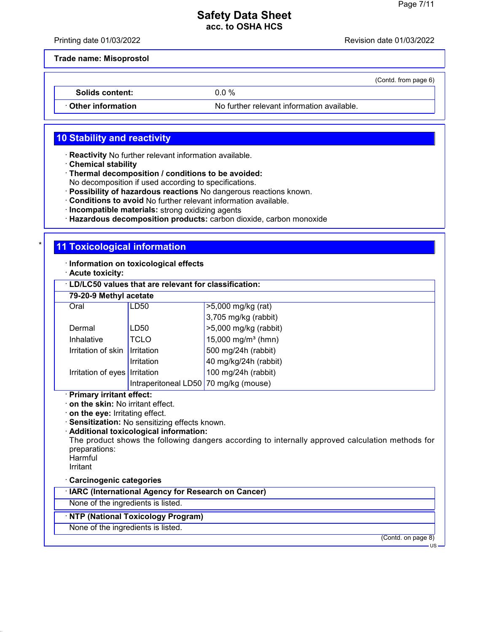Printing date 01/03/2022 Revision date 01/03/2022

(Contd. from page 6)

**Trade name: Misoprostol**

**Solids content:** 0.0 %

· **Other information** No further relevant information available.

### **10 Stability and reactivity**

- · **Reactivity** No further relevant information available.
- · **Chemical stability**
- · **Thermal decomposition / conditions to be avoided:**

No decomposition if used according to specifications.

- · **Possibility of hazardous reactions** No dangerous reactions known.
- · **Conditions to avoid** No further relevant information available.
- · **Incompatible materials:** strong oxidizing agents
- · **Hazardous decomposition products:** carbon dioxide, carbon monoxide

### **11 Toxicological information**

· **Information on toxicological effects**

· **Acute toxicity:**

| <b>LD/LC50 values that are relevant for classification:</b> |                                       |                                |  |  |
|-------------------------------------------------------------|---------------------------------------|--------------------------------|--|--|
| 79-20-9 Methyl acetate                                      |                                       |                                |  |  |
| Oral                                                        | LD50                                  | >5,000 mg/kg (rat)             |  |  |
|                                                             |                                       | $3,705$ mg/kg (rabbit)         |  |  |
| Dermal                                                      | LD50                                  | $>5,000$ mg/kg (rabbit)        |  |  |
| Inhalative                                                  | <b>TCLO</b>                           | 15,000 mg/m <sup>3</sup> (hmn) |  |  |
| Irritation of skin Irritation                               |                                       | 500 mg/24h (rabbit)            |  |  |
|                                                             | Irritation                            | 40 mg/kg/24h (rabbit)          |  |  |
| Irritation of eyes   Irritation                             |                                       | 100 mg/24h (rabbit)            |  |  |
|                                                             | Intraperitoneal LD50 70 mg/kg (mouse) |                                |  |  |

#### · **Primary irritant effect:**

· **on the skin:** No irritant effect.

· **on the eye:** Irritating effect.

- · **Sensitization:** No sensitizing effects known.
- · **Additional toxicological information:**

The product shows the following dangers according to internally approved calculation methods for preparations:

**Harmful** 

Irritant

#### · **Carcinogenic categories**

· **IARC (International Agency for Research on Cancer)**

None of the ingredients is listed.

#### · **NTP (National Toxicology Program)**

None of the ingredients is listed.

(Contd. on page 8)

US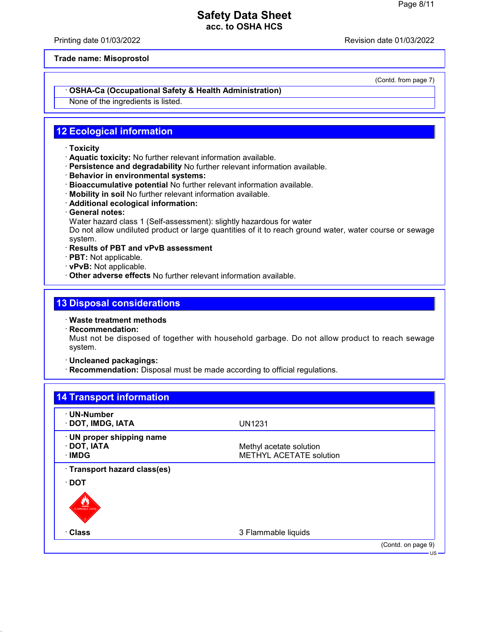Printing date 01/03/2022 Revision date 01/03/2022

**Trade name: Misoprostol**

(Contd. from page 7)

#### · **OSHA-Ca (Occupational Safety & Health Administration)**

None of the ingredients is listed.

### **12 Ecological information**

- · **Toxicity**
- · **Aquatic toxicity:** No further relevant information available.
- · **Persistence and degradability** No further relevant information available.
- · **Behavior in environmental systems:**
- · **Bioaccumulative potential** No further relevant information available.
- · **Mobility in soil** No further relevant information available.
- · **Additional ecological information:**
- · **General notes:**

Water hazard class 1 (Self-assessment): slightly hazardous for water

Do not allow undiluted product or large quantities of it to reach ground water, water course or sewage system.

- · **Results of PBT and vPvB assessment**
- · **PBT:** Not applicable.
- · **vPvB:** Not applicable.
- · **Other adverse effects** No further relevant information available.

### **13 Disposal considerations**

- · **Waste treatment methods**
- · **Recommendation:**

Must not be disposed of together with household garbage. Do not allow product to reach sewage system.

- · **Uncleaned packagings:**
- · **Recommendation:** Disposal must be made according to official regulations.

| · UN-Number                  |                                |                    |
|------------------------------|--------------------------------|--------------------|
| · DOT, IMDG, IATA            | <b>UN1231</b>                  |                    |
| · UN proper shipping name    |                                |                    |
| · DOT, IATA                  | Methyl acetate solution        |                    |
| · IMDG                       | <b>METHYL ACETATE solution</b> |                    |
| · Transport hazard class(es) |                                |                    |
| $\cdot$ DOT                  |                                |                    |
|                              |                                |                    |
|                              |                                |                    |
| FLAMMARLE LIQUI              |                                |                    |
|                              |                                |                    |
| · Class                      | 3 Flammable liquids            |                    |
|                              |                                | (Contd. on page 9) |
|                              |                                |                    |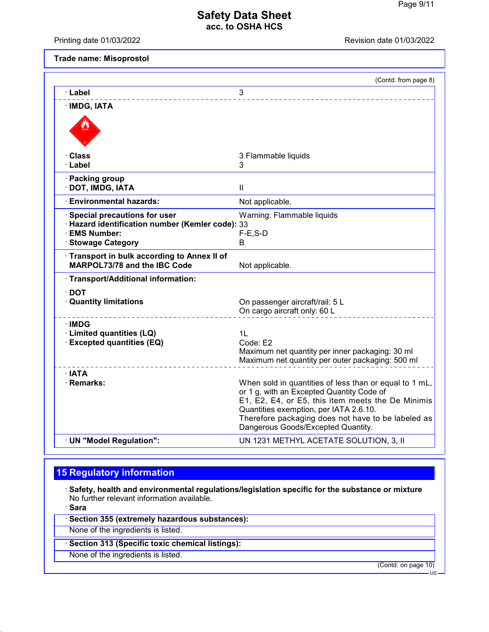Printing date 01/03/2022 **Revision date 01/03/2022** 

**Trade name: Misoprostol**

|                                                                            | (Contd. from page 8)                                                                                                                                                                                                                                                                           |
|----------------------------------------------------------------------------|------------------------------------------------------------------------------------------------------------------------------------------------------------------------------------------------------------------------------------------------------------------------------------------------|
| · Label                                                                    | 3                                                                                                                                                                                                                                                                                              |
| · IMDG, IATA                                                               |                                                                                                                                                                                                                                                                                                |
|                                                                            |                                                                                                                                                                                                                                                                                                |
| · Class                                                                    | 3 Flammable liquids                                                                                                                                                                                                                                                                            |
| · Label                                                                    | 3                                                                                                                                                                                                                                                                                              |
| · Packing group<br>· DOT, IMDG, IATA                                       | $\mathbf{H}$                                                                                                                                                                                                                                                                                   |
| <b>Environmental hazards:</b>                                              | Not applicable.                                                                                                                                                                                                                                                                                |
| <b>Special precautions for user</b>                                        | Warning: Flammable liquids                                                                                                                                                                                                                                                                     |
| · Hazard identification number (Kemler code): 33<br>· EMS Number:          | $F-E$ , S-D                                                                                                                                                                                                                                                                                    |
| <b>Stowage Category</b>                                                    | B                                                                                                                                                                                                                                                                                              |
| Transport in bulk according to Annex II of<br>MARPOL73/78 and the IBC Code | Not applicable.                                                                                                                                                                                                                                                                                |
| · Transport/Additional information:                                        |                                                                                                                                                                                                                                                                                                |
| $\cdot$ DOT                                                                |                                                                                                                                                                                                                                                                                                |
| <b>Quantity limitations</b>                                                | On passenger aircraft/rail: 5 L<br>On cargo aircraft only: 60 L                                                                                                                                                                                                                                |
| ∙IMDG                                                                      |                                                                                                                                                                                                                                                                                                |
| · Limited quantities (LQ)<br>· Excepted quantities (EQ)                    | 1L<br>Code: E2                                                                                                                                                                                                                                                                                 |
|                                                                            | Maximum net quantity per inner packaging: 30 ml<br>Maximum net quantity per outer packaging: 500 ml                                                                                                                                                                                            |
| · IATA                                                                     |                                                                                                                                                                                                                                                                                                |
| · Remarks:                                                                 | When sold in quantities of less than or equal to 1 mL,<br>or 1 g, with an Excepted Quantity Code of<br>E1, E2, E4, or E5, this item meets the De Minimis<br>Quantities exemption, per IATA 2.6.10.<br>Therefore packaging does not have to be labeled as<br>Dangerous Goods/Excepted Quantity. |
| · UN "Model Regulation":                                                   | UN 1231 METHYL ACETATE SOLUTION, 3, II                                                                                                                                                                                                                                                         |

# **15 Regulatory information**

· **Safety, health and environmental regulations/legislation specific for the substance or mixture** No further relevant information available.

· **Sara**

· **Section 355 (extremely hazardous substances):**

None of the ingredients is listed.

· **Section 313 (Specific toxic chemical listings):**

None of the ingredients is listed.

(Contd. on page 10)

US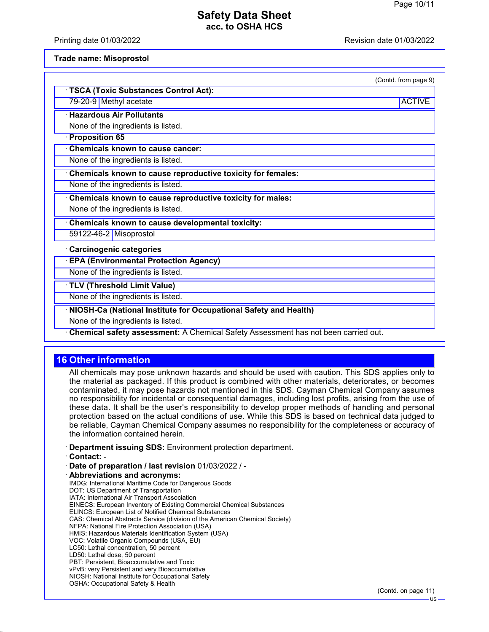Printing date 01/03/2022 Revision date 01/03/2022

#### **Trade name: Misoprostol**

| (Contd. from page 9) |  |  |
|----------------------|--|--|

79-20-9 Methyl acetate ACTIVE and ACTIVE and ACTIVE and ACTIVE and ACTIVE and ACTIVE and ACTIVE and ACTIVE and ACTIVE

· **Hazardous Air Pollutants**

None of the ingredients is listed.

### · **Proposition 65**

· **Chemicals known to cause cancer:**

· **TSCA (Toxic Substances Control Act):**

None of the ingredients is listed.

· **Chemicals known to cause reproductive toxicity for females:**

None of the ingredients is listed.

· **Chemicals known to cause reproductive toxicity for males:**

None of the ingredients is listed.

· **Chemicals known to cause developmental toxicity:**

59122-46-2 Misoprostol

· **Carcinogenic categories**

· **EPA (Environmental Protection Agency)**

None of the ingredients is listed.

· **TLV (Threshold Limit Value)**

None of the ingredients is listed.

· **NIOSH-Ca (National Institute for Occupational Safety and Health)**

None of the ingredients is listed.

· **Chemical safety assessment:** A Chemical Safety Assessment has not been carried out.

### **16 Other information**

All chemicals may pose unknown hazards and should be used with caution. This SDS applies only to the material as packaged. If this product is combined with other materials, deteriorates, or becomes contaminated, it may pose hazards not mentioned in this SDS. Cayman Chemical Company assumes no responsibility for incidental or consequential damages, including lost profits, arising from the use of these data. It shall be the user's responsibility to develop proper methods of handling and personal protection based on the actual conditions of use. While this SDS is based on technical data judged to be reliable, Cayman Chemical Company assumes no responsibility for the completeness or accuracy of the information contained herein.

· **Department issuing SDS:** Environment protection department.

· **Contact:** -

- · **Date of preparation / last revision** 01/03/2022 / · **Abbreviations and acronyms:** IMDG: International Maritime Code for Dangerous Goods DOT: US Department of Transportation IATA: International Air Transport Association EINECS: European Inventory of Existing Commercial Chemical Substances ELINCS: European List of Notified Chemical Substances CAS: Chemical Abstracts Service (division of the American Chemical Society) NFPA: National Fire Protection Association (USA) HMIS: Hazardous Materials Identification System (USA) VOC: Volatile Organic Compounds (USA, EU) LC50: Lethal concentration, 50 percent LD50: Lethal dose, 50 percent PBT: Persistent, Bioaccumulative and Toxic
- vPvB: very Persistent and very Bioaccumulative NIOSH: National Institute for Occupational Safety
	- OSHA: Occupational Safety & Health